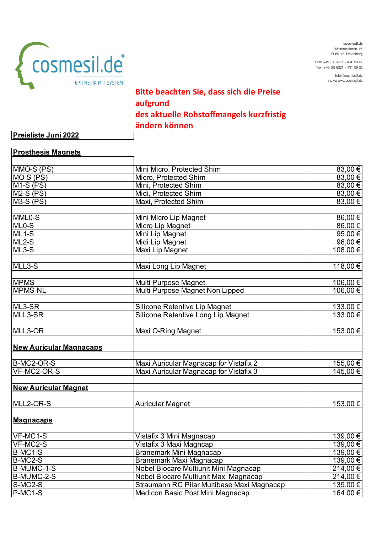

**cosmesil.de** Mittermaierstr. 25 D-69115 Heidelberg

Fon: +49 (0) 6221 - 431 99 22 Fax: +49 (0) 6221 - 431 99 23

> info@cosmesil.de http://www.cosmesil.de

## **Bitte beachten Sie, dass sich die Preise aufgrund des aktuelle Rohstoffmangels kurzfristig ändern können**

**Preisliste Juni 2022**

| <b>Prosthesis Magnets</b>      |                                            |              |
|--------------------------------|--------------------------------------------|--------------|
| MMO-S (PS)                     | Mini Micro, Protected Shim                 | 83,00€       |
| MO-S (PS)                      | Micro, Protected Shim                      | 83,00€       |
| $M1-S$ (PS)                    | Mini, Protected Shim                       | 83,00€       |
| $M2-S$ (PS)                    | Midi, Protected Shim                       | 83,00€       |
| $M3-S$ (PS)                    | Maxi, Protected Shim                       | 83,00€       |
|                                |                                            |              |
| MML0-S                         | Mini Micro Lip Magnet                      | 86,00€       |
| $ML0-S$                        | Micro Lip Magnet                           | 86,00€       |
| $ML1-S$                        | Mini Lip Magnet                            | 95,00€       |
| $ML2-S$                        | Midi Lip Magnet                            | 96,00€       |
| $ML3-S$                        | Maxi Lip Magnet                            | 108,00€      |
| MLL3-S                         | Maxi Long Lip Magnet                       | 118,00€      |
| <b>MPMS</b>                    | Multi Purpose Magnet                       | 106,00€      |
| <b>MPMS-NL</b>                 | Multi Purpose Magnet Non Lipped            | 106,00€      |
| ML3-SR                         | <b>Silicone Retentive Lip Magnet</b>       | 133,00€      |
| MLL3-SR                        | Silicone Retentive Long Lip Magnet         | $133,00$ €   |
|                                |                                            |              |
| MLL3-OR                        | Maxi O-Ring Magnet                         | $153,00 \in$ |
| <b>New Auricular Magnacaps</b> |                                            |              |
| B-MC2-OR-S                     | Maxi Auricular Magnacap for Vistafix 2     | 155,00 €     |
| VF-MC2-OR-S                    | Maxi Auricular Magnacap for Vistafix 3     | 145,00 €     |
| <b>New Auricular Magnet</b>    |                                            |              |
| MLL2-OR-S                      | <b>Auricular Magnet</b>                    | 153,00€      |
| <b>Magnacaps</b>               |                                            |              |
| VF-MC1-S                       | Vistafix 3 Mini Magnacap                   | 139,00€      |
| VF-MC2-S                       | Vistafix 3 Maxi Magncap                    | 139,00€      |
| $B-MC1-S$                      | Branemark Mini Magnacap                    | 139,00€      |
| B-MC2-S                        | Branemark Maxi Magnacap                    | 139,00€      |
| B-MUMC-1-S                     | Nobel Biocare Multiunit Mini Magnacap      | 214,00€      |
| B-MUMC-2-S                     | Nobel Biocare Multiunit Maxi Magnacap      | 214,00€      |
| S-MC2-S                        | Straumann RC Pilar Multibase Maxi Magnacap | 139,00€      |
| P-MC1-S                        | Medicon Basic Post Mini Magnacap           | 164,00€      |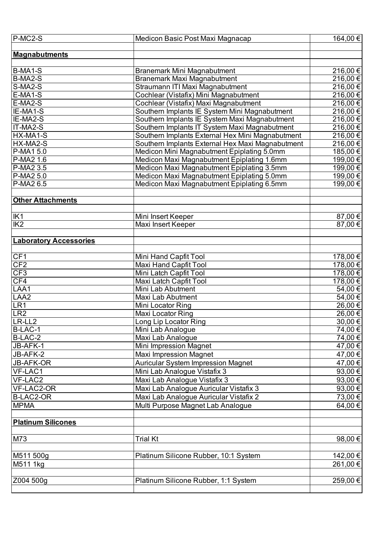| P-MC2-S                       | Medicon Basic Post Maxi Magnacap                 | 164,00 € |
|-------------------------------|--------------------------------------------------|----------|
|                               |                                                  |          |
| <b>Magnabutments</b>          |                                                  |          |
|                               |                                                  |          |
| B-MA1-S                       | <b>Branemark Mini Magnabutment</b>               | 216,00 € |
| B-MA2-S                       | <b>Branemark Maxi Magnabutment</b>               | 216,00€  |
| S-MA2-S                       | Straumann ITI Maxi Magnabutment                  | 216,00€  |
| E-MA1-S                       | Cochlear (Vistafix) Mini Magnabutment            | 216,00€  |
| E-MA2-S                       | Cochlear (Vistafix) Maxi Magnabutment            | 216,00€  |
| IE-MA1-S                      | Southern Implants IE System Mini Magnabutment    | 216,00€  |
| IE-MA2-S                      | Southern Implants IE System Maxi Magnabutment    | 216,00€  |
| IT-MA2-S                      | Southern Implants IT System Maxi Magnabutment    | 216,00€  |
| HX-MA1-S                      | Southern Implants External Hex Mini Magnabutment | 216,00€  |
| HX-MA2-S                      | Southern Implants External Hex Maxi Magnabutment | 216,00€  |
| P-MA1 5.0                     | Medicon Mini Magnabutment Epiplating 5.0mm       | 185,00 € |
| P-MA2 1.6                     | Medicon Maxi Magnabutment Epiplating 1.6mm       | 199,00 € |
| $\overline{P}$ -MA2 3.5       | Medicon Maxi Magnabutment Epiplating 3.5mm       | 199,00 € |
| P-MA2 5.0                     | Medicon Maxi Magnabutment Epiplating 5.0mm       | 199,00€  |
| P-MA2 6.5                     | Medicon Maxi Magnabutment Epiplating 6.5mm       | 199,00€  |
|                               |                                                  |          |
| <b>Other Attachments</b>      |                                                  |          |
|                               |                                                  |          |
| IK1                           | Mini Insert Keeper                               | 87,00 €  |
| $\overline{IK2}$              | Maxi Insert Keeper                               | 87,00€   |
|                               |                                                  |          |
| <b>Laboratory Accessories</b> |                                                  |          |
|                               |                                                  |          |
| CF1                           | Mini Hand Capfit Tool                            | 178,00 € |
| CF2                           | <b>Maxi Hand Capfit Tool</b>                     | 178,00 € |
| CF3                           | Mini Latch Capfit Tool                           | 178,00 € |
| CF4                           | Maxi Latch Capfit Tool                           | 178,00 € |
| LAA1                          | Mini Lab Abutment                                | 54,00 €  |
| LAA <sub>2</sub>              | Maxi Lab Abutment                                | 54,00€   |
| LR <sub>1</sub>               | Mini Locator Ring                                | 26,00€   |
| LR <sub>2</sub>               | Maxi Locator Ring                                | 26,00€   |
| LR-LL <sub>2</sub>            | Long Lip Locator Ring                            | 30,00 €  |
| B-LAC-1                       | Mini Lab Analogue                                | 74,00 €  |
| B-LAC-2                       | Maxi Lab Analogue                                | 74,00 €  |
| JB-AFK-1                      | Mini Impression Magnet                           | 47,00 €  |
| JB-AFK-2                      | <b>Maxi Impression Magnet</b>                    |          |
|                               |                                                  | 47,00 €  |
| <b>JB-AFK-OR</b>              | <b>Auricular System Impression Magnet</b>        | 47,00 €  |
| VF-LAC1                       | Mini Lab Analogue Vistafix 3                     | 93,00€   |
| VF-LAC2                       | Maxi Lab Analogue Vistafix 3                     | 93,00 €  |
| VF-LAC2-OR                    | Maxi Lab Analogue Auricular Vistafix 3           | 93,00 €  |
| <b>B-LAC2-OR</b>              | Maxi Lab Analogue Auricular Vistafix 2           | 73,00 €  |
| <b>MPMA</b>                   | Multi Purpose Magnet Lab Analogue                | 64,00€   |
|                               |                                                  |          |
| <b>Platinum Silicones</b>     |                                                  |          |
|                               |                                                  |          |
| M73                           | <b>Trial Kt</b>                                  | 98,00 €  |
|                               |                                                  |          |
| M511 500g                     | Platinum Silicone Rubber, 10:1 System            | 142,00 € |
| M511 1kg                      |                                                  | 261,00 € |
|                               |                                                  |          |
| Z004 500g                     | Platinum Silicone Rubber, 1:1 System             | 259,00 € |
|                               |                                                  |          |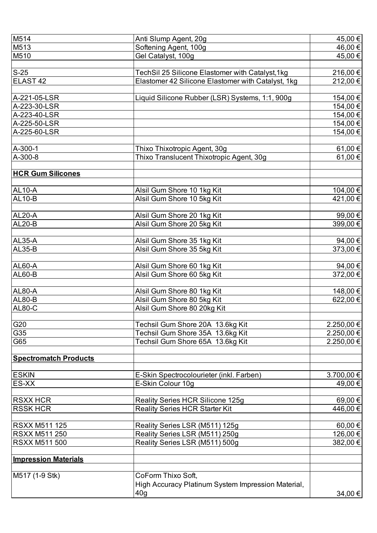| M514                         | Anti Slump Agent, 20g                              | 45,00 €    |
|------------------------------|----------------------------------------------------|------------|
| M513                         | Softening Agent, 100g                              | 46,00 €    |
| M510                         | Gel Catalyst, 100g                                 | 45,00€     |
|                              |                                                    |            |
| $\mathsf{S}\text{-}25$       | TechSil 25 Silicone Elastomer with Catalyst, 1kg   | 216,00 €   |
| ELAST <sub>42</sub>          | Elastomer 42 Silicone Elastomer with Catalyst, 1kg | 212,00 €   |
|                              |                                                    |            |
| A-221-05-LSR                 | Liquid Silicone Rubber (LSR) Systems, 1:1, 900g    | 154,00€    |
| A-223-30-LSR                 |                                                    | 154,00 €   |
| A-223-40-LSR                 |                                                    | 154,00€    |
| A-225-50-LSR                 |                                                    | 154,00 €   |
| A-225-60-LSR                 |                                                    | 154,00 €   |
|                              |                                                    |            |
| A-300-1                      | Thixo Thixotropic Agent, 30g                       | 61,00 €    |
| A-300-8                      | Thixo Translucent Thixotropic Agent, 30g           | 61,00€     |
|                              |                                                    |            |
| <b>HCR Gum Silicones</b>     |                                                    |            |
|                              |                                                    |            |
| <b>AL10-A</b>                | Alsil Gum Shore 10 1kg Kit                         | 104,00 €   |
| AL10-B                       | Alsil Gum Shore 10 5kg Kit                         | 421,00 €   |
|                              |                                                    |            |
| AL20-A                       | Alsil Gum Shore 20 1kg Kit                         | 99,00€     |
| AL20-B                       | Alsil Gum Shore 20 5kg Kit                         | 399,00 €   |
|                              |                                                    |            |
| <b>AL35-A</b>                | Alsil Gum Shore 35 1kg Kit                         | 94,00€     |
| <b>AL35-B</b>                | Alsil Gum Shore 35 5kg Kit                         | 373,00 €   |
|                              |                                                    |            |
| AL60-A                       | Alsil Gum Shore 60 1kg Kit                         | 94,00€     |
| <b>AL60-B</b>                | Alsil Gum Shore 60 5kg Kit                         | 372,00 €   |
|                              |                                                    |            |
| <b>AL80-A</b>                | Alsil Gum Shore 80 1kg Kit                         | 148,00€    |
| AL80-B                       | Alsil Gum Shore 80 5kg Kit                         | 622,00 €   |
| <b>AL80-C</b>                | Alsil Gum Shore 80 20kg Kit                        |            |
|                              |                                                    |            |
| G20                          | Techsil Gum Shore 20A 13.6kg Kit                   | 2.250,00 € |
| G35                          | Techsil Gum Shore 35A 13.6kg Kit                   | 2.250,00 € |
| G65                          | Techsil Gum Shore 65A 13.6kg Kit                   | 2.250,00 € |
|                              |                                                    |            |
| <b>Spectromatch Products</b> |                                                    |            |
|                              |                                                    |            |
| <b>ESKIN</b>                 | E-Skin Spectrocolourieter (inkl. Farben)           | 3.700,00 € |
| ES-XX                        | E-Skin Colour 10g                                  | 49,00 €    |
|                              |                                                    |            |
| <b>RSXX HCR</b>              | Reality Series HCR Silicone 125g                   | 69,00€     |
| <b>RSSK HCR</b>              | <b>Reality Series HCR Starter Kit</b>              | 446,00 €   |
|                              |                                                    |            |
| RSXX M511 125                | Reality Series LSR (M511) 125g                     | 60,00 €    |
| <b>RSXX M511 250</b>         | Reality Series LSR (M511) 250g                     | 126,00 €   |
| <b>RSXX M511 500</b>         | Reality Series LSR (M511) 500g                     | 382,00 €   |
|                              |                                                    |            |
| <b>Impression Materials</b>  |                                                    |            |
|                              |                                                    |            |
| M517 (1-9 Stk)               | CoForm Thixo Soft,                                 |            |
|                              | High Accuracy Platinum System Impression Material, |            |
|                              | 40 <sub>g</sub>                                    | 34,00 €    |
|                              |                                                    |            |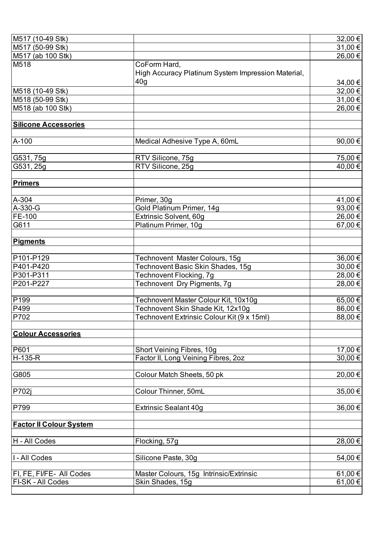| M517 (10-49 Stk)               |                                                    | 32,00 €   |
|--------------------------------|----------------------------------------------------|-----------|
| M517 (50-99 Stk)               |                                                    | 31,00 €   |
| M517 (ab 100 Stk)              |                                                    | 26,00€    |
| M518                           | CoForm Hard,                                       |           |
|                                | High Accuracy Platinum System Impression Material, |           |
|                                | 40 <sub>g</sub>                                    | 34,00 €   |
| M518 (10-49 Stk)               |                                                    | 32,00 €   |
| M518 (50-99 Stk)               |                                                    | 31,00 €   |
| M518 (ab 100 Stk)              |                                                    | 26,00 €   |
|                                |                                                    |           |
| <b>Silicone Accessories</b>    |                                                    |           |
|                                |                                                    |           |
| A-100                          | Medical Adhesive Type A, 60mL                      | 90,00 €   |
|                                |                                                    |           |
| G531, 75g                      | RTV Silicone, 75g                                  | 75,00 €   |
| G531, 25g                      | RTV Silicone, 25g                                  | 40,00€    |
|                                |                                                    |           |
| <u>Primers</u>                 |                                                    |           |
| A-304                          | Primer, 30g                                        | 41,00 €   |
| $\overline{A}$ -330-G          | Gold Platinum Primer, 14g                          | 93,00€    |
| <b>FE-100</b>                  | Extrinsic Solvent, 60g                             | 26,00 €   |
| G611                           | Platinum Primer, 10g                               | 67,00€    |
|                                |                                                    |           |
| Pigments                       |                                                    |           |
|                                |                                                    |           |
| P101-P129                      | Technovent Master Colours, 15g                     | 36,00 €   |
| P401-P420                      | Technovent Basic Skin Shades, 15g                  | 30,00 €   |
| P301-P311                      | Technovent Flocking, 7g                            | 28,00 €   |
| P201-P227                      | Technovent Dry Pigments, 7g                        | 28,00 €   |
|                                |                                                    |           |
| $\overline{P}$ 199             | Technovent Master Colour Kit, 10x10g               | 65,00 €   |
| <b>P499</b>                    | Technovent Skin Shade Kit, 12x10g                  | 86,00€    |
| P702                           | Technovent Extrinsic Colour Kit (9 x 15ml)         | 88,00€    |
|                                |                                                    |           |
| <b>Colour Accessories</b>      |                                                    |           |
|                                |                                                    |           |
| <b>P601</b>                    | Short Veining Fibres, 10g                          | 17,00 €   |
| $H-135-R$                      | Factor II, Long Veining Fibres, 2oz                | $30,00$ € |
| G805                           | Colour Match Sheets, 50 pk                         | 20,00€    |
|                                |                                                    |           |
| P702j                          | Colour Thinner, 50mL                               | 35,00 €   |
|                                |                                                    |           |
| <b>P799</b>                    | <b>Extrinsic Sealant 40g</b>                       | 36,00 €   |
|                                |                                                    |           |
| <b>Factor II Colour System</b> |                                                    |           |
|                                |                                                    |           |
| H - All Codes                  | Flocking, 57g                                      | 28,00 €   |
|                                |                                                    |           |
| I - All Codes                  | Silicone Paste, 30g                                | 54,00 €   |
|                                |                                                    |           |
| FI, FE, FI/FE- All Codes       | Master Colours, 15g Intrinsic/Extrinsic            | 61,00 €   |
| FI-SK - All Codes              | Skin Shades, 15g                                   | 61,00 €   |
|                                |                                                    |           |